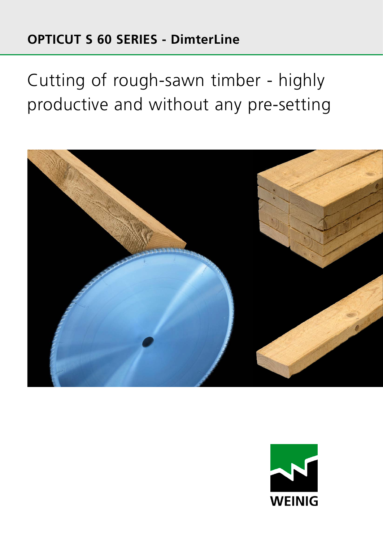### **OPTICUT S 60 SERIES - DimterLine**

Cutting of rough-sawn timber - highly productive and without any pre-setting



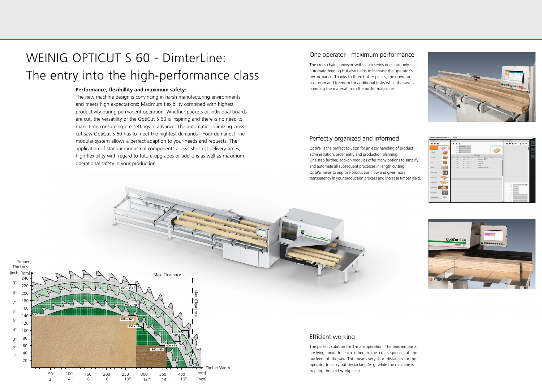### Perfectly organized and informed

OptiPal is the perfect solution for an easy handling of product administration, order entry and production planning. One step further, add-on modules offer many options to simplify and automate all subsequent processes in length cutting. OptiPal helps to improve production flow and gives more transparency in your production process and increase timber yield.

#### Efficient working

The perfect solution for 1-man-operation. The finished parts are lying next to each other in the cut sequence at the outfeed of the saw. This means very short distances for the operator to carry out destacking (e. g. while the machine is treating the next workpiece).







#### One operator - maximum performance

The cross chain conveyor with catch series does not only automate feeding but also helps to increase the operator's performance. Thanks to three buffer places, the operator has room and freedom for additional tasks while the saw is handling the material from the buffer magazine.

#### **Performance, flexibillity and maximum safety:**

The new machine design is convincing in harsh manufacturing environments and meets high expectations: Maximum flexibility combined with highest productivity during permanent operation. Whether packets or individual boards are cut, the versatility of the OptiCut S 60 is inspiring and there is no need to make time consuming pre-settings in advance. The automatic optimizing crosscut saw OptiCut S 60 has to meet the hightest demands - Your demands! The modular system allows a perfect adaption to your needs and requests. The application of standard industrial components allows shortest delivery times, high flexibilIty with regard to future upgrades or add-ons as well as maximum operational safety in your production.



# WEINIG OPTICUT S 60 - DimterLine: The entry into the high-performance class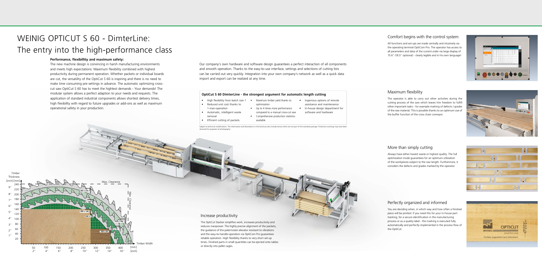#### **Performance, flexibillity and maximum safety:**

The new machine design is convincing in harsh manufacturing environments and meets high expectations: Maximum flexibility combined with highest productivity during permanent operation. Whether packets or individual boards are cut, the versatility of the OptiCut S 60 is inspiring and there is no need to make time consuming pre-settings in advance. The automatic optimizing crosscut saw OptiCut S 60 has to meet the hightest demands - Your demands! The modular system allows a perfect adaption to your needs and requests. The application of standard industrial components allows shortest delivery times, high flexibilIty with regard to future upgrades or add-ons as well as maximum operational safety in your production.

# WEINIG OPTICUT S 60 - DimterLine: The entry into the high-performance class

Subject to technical modifications. The information and illustrations in this brochure also include extras which are not part of the standard package. Protective coverings may have been removed for purposes of photography.

- High flexibility from batch size 1
- Reduced unit cost thanks to
- 1-man-operation • Automatic, intelligent waste removal
- Efficient cutting of packets

Our company's own hardware and software design guarantees a perfect interaction of all components and smooth operation. Thanks to the easy-to-use interface, settings and selections of cutting lists can be carried out very quickly. Integration into your own company's network as well as a quick data import and export can be realized at any time.

#### Increase productivity

The OptiCut Stacker simplifies work, increases productivity and reduces manpower. The highly precise alignment of the packets, the guidance of the paternoster elevator resistant to vibrations and the easy-to-handle operation via OptiCom Pro guarantees reliable operation. High flexibility thanks to very short set-up times. Finished parts in small quantities can be ejected onto tables or directly into pallet cages.



#### **OptiCut S 60 DimterLine - the strongest argument for automatic length cutting**

optimization

- Maximum timber yield thanks to
- Up to 4 times more performance compared to a manual cross-cut saw • Comprehensive production statistics
- Ingenious options of remote assistance and maintenance • In-house design department for software and hardware



available

#### Comfort begins with the control system

All functions and set-ups are made centrally and intuitively via the operating terminal OptiCom Pro. The operator has access to all parameters and data of the current order via large display of 15.6" (18.5" optional) - clearly legible and in his own language!

#### Perfectly organized and informed

You are deciding when, in which way and how often a finished piece will be printed. If you need this for your in-house part tracking, for a secure identification in the manufacturing process or as a quality label - the marking is executed fully automatically and perfectly implemented in the process flow of the OptiCut.



#### More than simply cutting

Always have either lowest waste or highest quality. The full optimization mode guarantees for an optimum utilization of the workpieces subject to the raw length. Furthermore, it considers the defects and grades marked by the operator.



#### Maximum flexibility

The operator is able to carry out other activities during the cutting process of the saw which leaves him freedom to fulfill other important tasks - for example marking of defects / grades of the raw material. This is possible thanks to an optimum use of the buffer function of the cross chain conveyor.